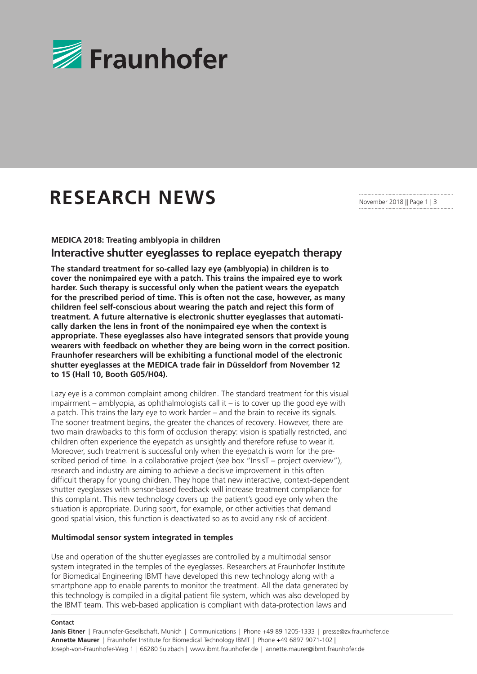

# **RESEARCH NEWS**

November 2018 || Page 1 | 3

**MEDICA 2018: Treating amblyopia in children**

# **Interactive shutter eyeglasses to replace eyepatch therapy**

**The standard treatment for so-called lazy eye (amblyopia) in children is to cover the nonimpaired eye with a patch. This trains the impaired eye to work harder. Such therapy is successful only when the patient wears the eyepatch for the prescribed period of time. This is often not the case, however, as many children feel self-conscious about wearing the patch and reject this form of treatment. A future alternative is electronic shutter eyeglasses that automatically darken the lens in front of the nonimpaired eye when the context is appropriate. These eyeglasses also have integrated sensors that provide young wearers with feedback on whether they are being worn in the correct position. Fraunhofer researchers will be exhibiting a functional model of the electronic shutter eyeglasses at the MEDICA trade fair in Düsseldorf from November 12 to 15 (Hall 10, Booth G05/H04).**

Lazy eye is a common complaint among children. The standard treatment for this visual impairment – amblyopia, as ophthalmologists call it – is to cover up the good eye with a patch. This trains the lazy eye to work harder – and the brain to receive its signals. The sooner treatment begins, the greater the chances of recovery. However, there are two main drawbacks to this form of occlusion therapy: vision is spatially restricted, and children often experience the eyepatch as unsightly and therefore refuse to wear it. Moreover, such treatment is successful only when the eyepatch is worn for the prescribed period of time. In a collaborative project (see box "InsisT – project overview"), research and industry are aiming to achieve a decisive improvement in this often difficult therapy for young children. They hope that new interactive, context-dependent shutter eyeglasses with sensor-based feedback will increase treatment compliance for this complaint. This new technology covers up the patient's good eye only when the situation is appropriate. During sport, for example, or other activities that demand good spatial vision, this function is deactivated so as to avoid any risk of accident.

# **Multimodal sensor system integrated in temples**

Use and operation of the shutter eyeglasses are controlled by a multimodal sensor system integrated in the temples of the eyeglasses. Researchers at Fraunhofer Institute for Biomedical Engineering IBMT have developed this new technology along with a smartphone app to enable parents to monitor the treatment. All the data generated by this technology is compiled in a digital patient file system, which was also developed by the IBMT team. This web-based application is compliant with data-protection laws and

#### **Contact**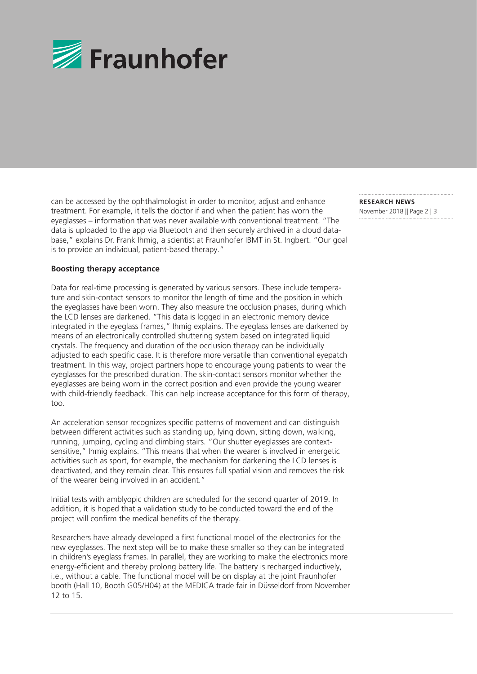

can be accessed by the ophthalmologist in order to monitor, adjust and enhance treatment. For example, it tells the doctor if and when the patient has worn the eyeglasses – information that was never available with conventional treatment. "The data is uploaded to the app via Bluetooth and then securely archived in a cloud database," explains Dr. Frank Ihmig, a scientist at Fraunhofer IBMT in St. Ingbert. "Our goal is to provide an individual, patient-based therapy."

## **Boosting therapy acceptance**

Data for real-time processing is generated by various sensors. These include temperature and skin-contact sensors to monitor the length of time and the position in which the eyeglasses have been worn. They also measure the occlusion phases, during which the LCD lenses are darkened. "This data is logged in an electronic memory device integrated in the eyeglass frames," Ihmig explains. The eyeglass lenses are darkened by means of an electronically controlled shuttering system based on integrated liquid crystals. The frequency and duration of the occlusion therapy can be individually adjusted to each specific case. It is therefore more versatile than conventional eyepatch treatment. In this way, project partners hope to encourage young patients to wear the eyeglasses for the prescribed duration. The skin-contact sensors monitor whether the eyeglasses are being worn in the correct position and even provide the young wearer with child-friendly feedback. This can help increase acceptance for this form of therapy, too.

An acceleration sensor recognizes specific patterns of movement and can distinguish between different activities such as standing up, lying down, sitting down, walking, running, jumping, cycling and climbing stairs. "Our shutter eyeglasses are contextsensitive," Ihmig explains. "This means that when the wearer is involved in energetic activities such as sport, for example, the mechanism for darkening the LCD lenses is deactivated, and they remain clear. This ensures full spatial vision and removes the risk of the wearer being involved in an accident."

Initial tests with amblyopic children are scheduled for the second quarter of 2019. In addition, it is hoped that a validation study to be conducted toward the end of the project will confirm the medical benefits of the therapy.

Researchers have already developed a first functional model of the electronics for the new eyeglasses. The next step will be to make these smaller so they can be integrated in children's eyeglass frames. In parallel, they are working to make the electronics more energy-efficient and thereby prolong battery life. The battery is recharged inductively, i.e., without a cable. The functional model will be on display at the joint Fraunhofer booth (Hall 10, Booth G05/H04) at the MEDICA trade fair in Düsseldorf from November 12 to 15.

**RESEARCH NEWS**  November 2018 || Page 2 | 3